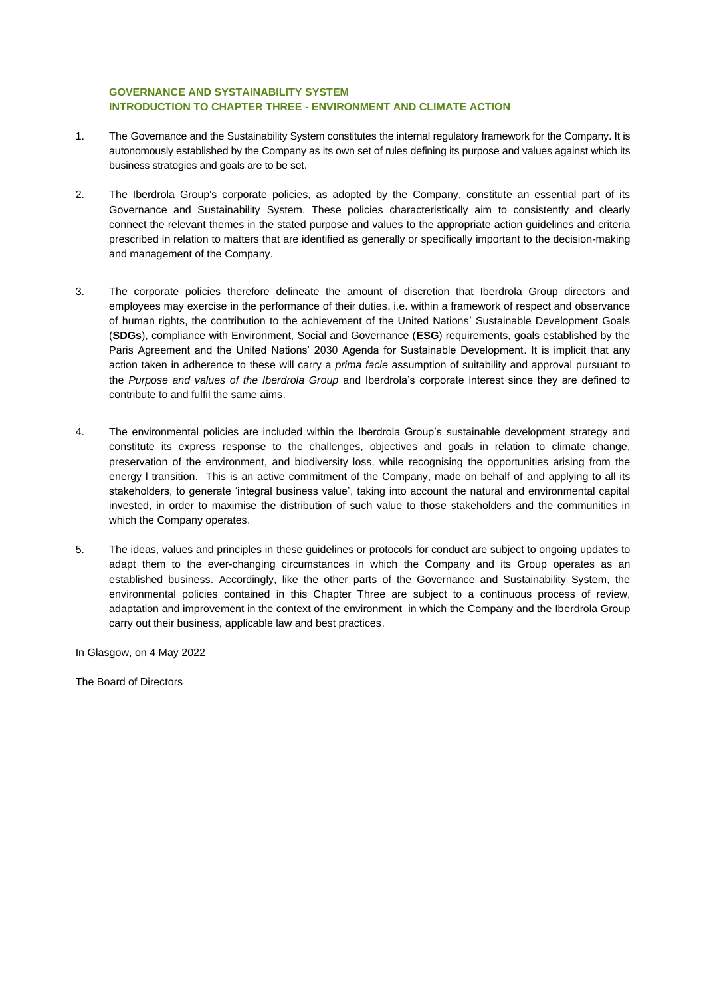## **GOVERNANCE AND SYSTAINABILITY SYSTEM INTRODUCTION TO CHAPTER THREE - ENVIRONMENT AND CLIMATE ACTION**

- 1. The Governance and the Sustainability System constitutes the internal regulatory framework for the Company. It is autonomously established by the Company as its own set of rules defining its purpose and values against which its business strategies and goals are to be set.
- 2. The Iberdrola Group's corporate policies, as adopted by the Company, constitute an essential part of its Governance and Sustainability System. These policies characteristically aim to consistently and clearly connect the relevant themes in the stated purpose and values to the appropriate action guidelines and criteria prescribed in relation to matters that are identified as generally or specifically important to the decision-making and management of the Company.
- 3. The corporate policies therefore delineate the amount of discretion that Iberdrola Group directors and employees may exercise in the performance of their duties, i.e. within a framework of respect and observance of human rights, the contribution to the achievement of the United Nations' Sustainable Development Goals (**SDGs**), compliance with Environment, Social and Governance (**ESG**) requirements, goals established by the Paris Agreement and the United Nations' 2030 Agenda for Sustainable Development. It is implicit that any action taken in adherence to these will carry a *prima facie* assumption of suitability and approval pursuant to the *Purpose and values of the Iberdrola Group* and Iberdrola's corporate interest since they are defined to contribute to and fulfil the same aims.
- 4. The environmental policies are included within the Iberdrola Group's sustainable development strategy and constitute its express response to the challenges, objectives and goals in relation to climate change, preservation of the environment, and biodiversity loss, while recognising the opportunities arising from the energy l transition. This is an active commitment of the Company, made on behalf of and applying to all its stakeholders, to generate 'integral business value', taking into account the natural and environmental capital invested, in order to maximise the distribution of such value to those stakeholders and the communities in which the Company operates.
- 5. The ideas, values and principles in these guidelines or protocols for conduct are subject to ongoing updates to adapt them to the ever-changing circumstances in which the Company and its Group operates as an established business. Accordingly, like the other parts of the Governance and Sustainability System, the environmental policies contained in this Chapter Three are subject to a continuous process of review, adaptation and improvement in the context of the environment in which the Company and the Iberdrola Group carry out their business, applicable law and best practices.

In Glasgow, on 4 May 2022

The Board of Directors